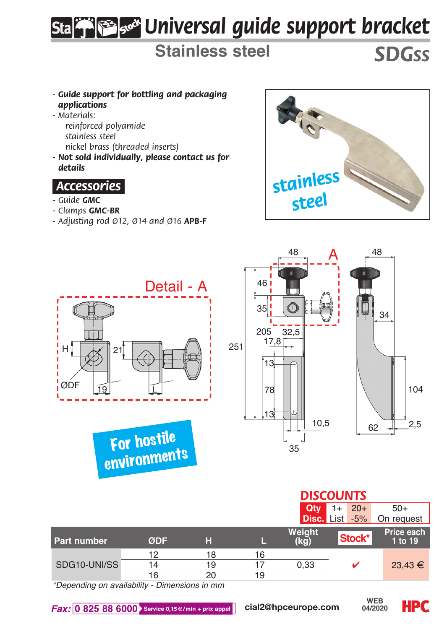## *Universal guide support bracket*

**Stainless steel** *SDGss*

- *Guide support for bottling and packaging applications*
- *Materials:*
	- *reinforced polyamide stainless steel*
	- *nickel brass (threaded inserts)*
- *Not sold individually, please contact us for details*

## *.Accessories.*

- *Guide GMC*
- *Clamps GMC-BR*
- *Adjusting rod Ø12, Ø14 and Ø16 APB-F*





|              |     |    |    | <b>DISCOUNTS</b> |                |                       |
|--------------|-----|----|----|------------------|----------------|-----------------------|
|              |     |    |    | Qtv              | $20+$<br>1+    | $50+$                 |
|              |     |    |    |                  | Disc. List -5% | On request            |
| Part number  | ØDF | н  |    | Weight<br>(kg)   | Stock*         | Price each<br>1 to 19 |
|              | 12  | 18 | 16 |                  |                |                       |
| SDG10-UNI/SS | 14  | 19 |    | 0.33             |                | $23,43 \in$           |
|              | 16  | 20 | 19 |                  |                |                       |

*\*Depending on availability - Dimensions in mm*